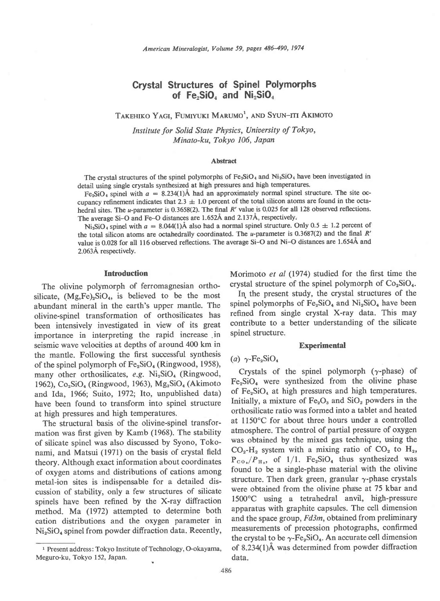# Crystal Structures of Spinel Polymorphs of  $Fe<sub>2</sub>SiO<sub>4</sub>$  and  $Ni<sub>2</sub>SiO<sub>4</sub>$

TAKEHIKO YAGI, FUMIYUKI MARUMO<sup>1</sup>, AND SYUN-ITI AKIMOTO

Institute for Solid State Physics, University of Tokyo, Minato-ku, Tokyo 106, Japan

### Abstract

The crystal structures of the spinel polymorphs of  $Fe<sub>2</sub>SiO<sub>4</sub>$  and  $Ni<sub>2</sub>SiO<sub>4</sub>$  have been investigated in detail using single crystals synthesized at high pressures and high temperatures.

Fe<sub>2</sub>SiO<sub>4</sub> spinel with  $a = 8.234(1)$ Å had an approximately normal spinel structure. The site occupancy refinement indicates that 2.3  $\pm$  1.0 percent of the total silicon atoms are found in the octahedral sites. The *u*-parameter is 0.3658(2). The final R' value is 0.025 for all 128 observed reflections. The average Si-O and Fe-O distances are 1.652Å and 2.137Å, respectively.

Ni<sub>2</sub>SiO<sub>4</sub> spinel with  $a = 8.044(1)$ Å also had a normal spinel structure. Only  $0.5 \pm 1.2$  percent of the total silicon atoms are octahedrally coordinated. The u-parameter is 0.3687(2) and the final  $R'$ value is 0.028 for all 116 observed reflections. The average Si-O and Ni-O distances are 1.6544 and 2.063A respectively.

# **Introduction**

The olivine polymorph of ferromagnesian orthosilicate,  $(Mg,Fe)_2SiO_4$ , is believed to be the most abundant mineral in the earth's upper mantle. The olivine-spinel transformation of orthosilicates has been intensively investigated in view of its great importance in interpreting the rapid increase .in seismic wave velocities at depths of around 400 km in the mantle. Following the first successful synthesis of the spinel polymorph of  $Fe<sub>2</sub>SiO<sub>4</sub>$  (Ringwood, 1958), many other orthosilicates,  $e.g.$  Ni<sub>2</sub>SiO<sub>4</sub> (Ringwood, 1962),  $Co_2SiO_4$  (Ringwood, 1963),  $Mg_2SiO_4$  (Akimoto and Ida, 1966; Suito, 1972; Ito, unpublished data) have been found to transform into spinel structure at high pressures and high temperatures.

The structural basis of the olivine-spinel transformation was first given by Kamb (1968). The stability of silicate spinel was also discussed by Syono, Tokonami, and Matsui (1971) on the basis of crystal field theory. Although exact information about coordinates of oxygen atoms and distributions of cations among metal-ion sites is indispensable for a detailed discussion of stability, only a few structures of silicate spinels have been refined by the X-ray diffraction method. Ma (1972) attempted to determine both cation distributions and the oxygen parameter in  $Ni<sub>2</sub>SiO<sub>4</sub>$  spinel from powder diffraction data. Recently, Morimoto et al (1974) studied for the first time the crystal structure of the spinel polymorph of  $Co<sub>2</sub>SiO<sub>4</sub>$ .

In the present study, the crystal structures of the spinel polymorphs of  $Fe<sub>2</sub>SiO<sub>4</sub>$  and  $Ni<sub>2</sub>SiO<sub>4</sub>$  have been refined from single crystal X-ray data. This may contribute to a better understanding of the silicate spinel structure.

# **Experimental**

## (a)  $\gamma$ -Fe<sub>2</sub>SiO<sub>4</sub>

Crystals of the spinel polymorph  $(\gamma$ -phase) of  $Fe<sub>5</sub>SiO<sub>4</sub>$  were synthesized from the olivine phase of  $Fe<sub>2</sub>SiO<sub>4</sub>$  at high pressures and high temperatures. Initially, a mixture of  $Fe<sub>2</sub>O<sub>3</sub>$  and  $SiO<sub>2</sub>$  powders in the orthosilicate ratio was formed into a tablet and heated at ll50'C for about three hours under a controlled atmosphere. The control of partial pressure of oxygen was obtained by the mixed gas technique, using the  $CO<sub>2</sub>$ -H<sub>2</sub> system with a mixing ratio of  $CO<sub>2</sub>$  to H<sub>2</sub>,  $P_{CO_2}/P_{H_2}$ , of 1/1. Fe<sub>2</sub>SiO<sub>4</sub> thus synthesized was found to be a single-phase material with the olivine structure. Then dark green, granular  $\gamma$ -phase crystals were obtained from the olivine phase at 75 kbar and 1500"C using a tetrahedral anvil, high-pressure apparatus with graphite capsules. The cell dimension and the space group, Fd3m, obtained from preliminary measurements of precession photographs, confirmed the crystal to be  $\gamma$ -Fe<sub>2</sub>SiO<sub>4</sub>. An accurate cell dimension of 8.23a(1)A was determined from powder diffraction data.

<sup>&</sup>lt;sup>1</sup> Present address: Tokyo Institute of Technology, O-okayama, Meguro-ku, Tokyo 152, Japan.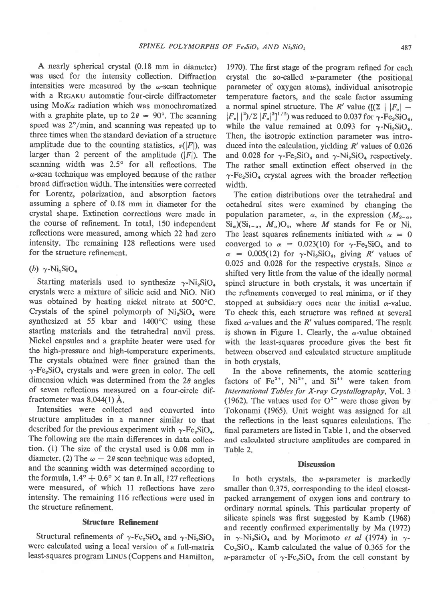A nearly spherical crystal (0.18 mm in diameter) was used for the intensity collection. Diffraction intensities were measured by the  $\omega$ -scan technique with a RIGAKU automatic four-circle diffractometer using  $M\alpha$  radiation which was monochromatized with a graphite plate, up to  $2\theta = 90^{\circ}$ . The scanning speed was  $2^{\circ}/\text{min}$ , and scanning was repeated up to three times when the standard deviation of a structure amplitude due to the counting statistics,  $\sigma(|F|)$ , was larger than 2 percent of the amplitude  $(|F|)$ . The scanning width was  $2.5^{\circ}$  for all reflections. The o-scan technique was employed because of the rather broad diffraction width. The intensities were corrected for Lorentz, polarization, and absorption factors assuming a sphere of 0.18 mm in diameter for the crystal shape. Extinction corrections were made in the course of refinement. In total, 150 independent reflections were measured, among which 22 had zero intensity. The remaining 128 reflections were used for the structure refinement.

(b)  $\gamma$ -Ni<sub>2</sub>SiO<sub>4</sub>

Starting materials used to synthesize  $\gamma$ -Ni<sub>2</sub>SiO<sub>4</sub> crystals were a mixture of silicic acid and NiO. NiO was obtained by heating nickel nitrate at 500°C. Crystals of the spinel polymorph of  $Ni<sub>2</sub>SiO<sub>4</sub>$  were synthesized at 55 kbar and 1400°C using these starting materials and the tetrahedral anvil press. Nickel capsules and a graphite heater were used for the high-pressure and high-temperature experiments. The crystals obtained were finer grained than the  $\gamma$ -Fe<sub>2</sub>SiO<sub>4</sub> crystals and were green in color. The cell dimension which was determined from the  $2\theta$  angles of seven reflections measured on a four-circle diffractometer was 8.044(l) A.

Intensities were collected and converted into structure amplitudes in a manner similar to that described for the previous experiment with  $\gamma$ -Fe<sub>2</sub>SiO<sub>4</sub>. The following are the main differences in data collection. (l) The size of the crystal used is 0.08 mm in diameter. (2) The  $\omega - 2\theta$  scan technique was adopted, and the scanning width was determined according to the formula,  $1.4^{\circ} + 0.6^{\circ} \times \tan \theta$ . In all, 127 reflections were measured, of which 11 reflections have zero intensity. The remaining 116 reflections were used in the structure refinement.

### Structure Refinement

Structural refinements of  $\gamma$ -Fe<sub>2</sub>SiO<sub>4</sub> and  $\gamma$ -Ni<sub>2</sub>SiO<sub>4</sub> were calculated using a local version of a full-matrix least-squares program LrNus (Coppens and Hamilton,

1970). The first stage of the program refined for each crystal the so-called  $u$ -parameter (the positional parameter of oxygen atoms), individual anisotropic temperature factors, and the scale factor assuming a normal spinel structure. The R' value ( $[(\Sigma \mid |F_{o}]$  - $|F_c|^2/2 [F_o]^2]^{1/2}$  was reduced to 0.037 for  $\gamma$ -Fe<sub>2</sub>SiO<sub>4</sub>, while the value remained at 0.093 for  $\gamma$ -Ni<sub>2</sub>SiO<sub>4</sub>. Then, the isotropic extinction parameter was introduced into the calculation, yielding  $R'$  values of 0.026 and 0.028 for  $\gamma$ -Fe<sub>2</sub>SiO<sub>4</sub> and  $\gamma$ -Ni<sub>2</sub>SiO<sub>4</sub> respectively. The rather small extinction effect observed in the  $\gamma$ -Fe<sub>2</sub>SiO<sub>4</sub> crystal agrees with the broader reflection width.

The cation distributions over the tetrahedral and octahedral sites were examined by changing the population parameter,  $\alpha$ , in the expression  $(M_{2-\alpha},$  $Si_{\alpha}$ ) $(Si_{1-\alpha}, M_{\alpha})O_4$ , where *M* stands for Fe or Ni. The least squares refinements initiated with  $\alpha = 0$ converged to  $\alpha = 0.023(10)$  for  $\gamma$ -Fe<sub>2</sub>SiO<sub>4</sub> and to  $\alpha$  = 0.005(12) for  $\gamma$ -Ni<sub>2</sub>SiO<sub>4</sub>, giving R' values of 0.025 and 0.028 for the respective crystals. Since  $\alpha$ shifted very little from the value of the ideally normal spinel structure in both crystals, it was uncertain if the refinements converged to real minima, or if they stopped at subsidiary ones near the initial  $\alpha$ -value. To check this, each structure was refined at several fixed  $\alpha$ -values and the R' values compared. The result is shown in Figure 1. Clearly, the  $\alpha$ -value obtained with the least-squares procedure gives the best fit between observed and calculated structure amplitude in both crystals.

In the above refinements, the atomic scattering factors of Fe<sup>2+</sup>, Ni<sup>2+</sup>, and Si<sup>4+</sup> were taken from International Tables for X-ray Crystallography, Vol. 3 (1962). The values used for  $O^{2-}$  were those given by Tokonami (1965). Unit weight was assigned for all the reflections in the least squares calculations. The final parameters are listed in Table 1, and the observed and calculated structure amplitudes are compared in Table 2.

#### **Discussion**

In both crystals, the  $u$ -parameter is markedly smaller than 0.375, corresponding to the ideal closestpacked arrangement of oxygen ions and contrary to ordinary normal spinels. This particular property of silicate spinels was first suggested by Kamb (1968) and recently confirmed experimentally by Ma (1972) in  $\gamma$ -Ni<sub>2</sub>SiO<sub>4</sub> and by Morimoto et al (1974) in  $\gamma$ - $Co<sub>2</sub>SiO<sub>4</sub>$ . Kamb calculated the value of 0.365 for the u-parameter of  $\gamma$ -Fe<sub>2</sub>SiO<sub>4</sub> from the cell constant by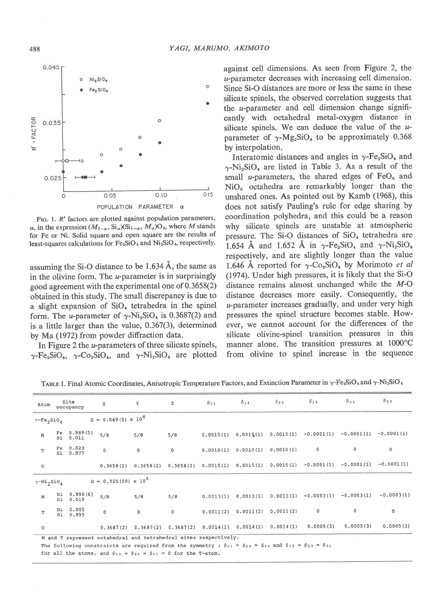

FIG. 1.  $R'$  factors are plotted against population parameters,  $\alpha$ , in the expression  $(M_{2-\alpha}, \text{Si}_{\alpha})(\text{Si}_{1-\alpha}, M_{\alpha})\text{O}_4$ , where M stands for Fe or Ni. Solid square and open square are the results of least-squares calculations for  $Fe<sub>2</sub>SiO<sub>4</sub>$  and  $Ni<sub>2</sub>SiO<sub>4</sub>$ , respectively.

assuming the Si-O distance to be 1.634 A, the same as in the olivine form. The  $u$ -parameter is in surprisingly good agreement with the experimental one of 0.3658(2) obtained in this study. The small discrepancy is due to a slight expansion of  $SiO<sub>4</sub>$  tetrahedra in the spinel form. The *u*-parameter of  $\gamma$ -Ni<sub>2</sub>SiO<sub>4</sub> is 0.3687(2) and is a little larger than the value, 0.367(3), determined by Ma (1972) from powder diffraction data.

In Figure 2 the *u*-parameters of three silicate spinels,  $\gamma$ -Fe<sub>2</sub>SiO<sub>4</sub>,  $\gamma$ -Co<sub>2</sub>SiO<sub>4</sub>, and  $\gamma$ -Ni<sub>2</sub>SiO<sub>4</sub> are plotted

against cell dimensions. As seen from Figure 2, the u-parameter decreases with increasing cell dimension. Since Si-O distances are more or less the same in these silicate spinels, the observed correlation suggests that the  $u$ -parameter and cell dimension change significantly with octahedral metal-oxygen distance in silicate spinels. We can deduce the value of the  $u$ parameter of  $\gamma$ -Mg<sub>2</sub>SiO<sub>4</sub> to be approximately 0.368 by interpolation.

Interatomic distances and angles in  $\gamma$ -Fe<sub>2</sub>SiO<sub>4</sub> and  $\gamma$ -Ni<sub>2</sub>SiO<sub>4</sub> are listed in Table 3. As a result of the small *u*-parameters, the shared edges of  $FeO<sub>6</sub>$  and  $NiO<sub>6</sub>$  octahedra are remarkably longer than the unshared ones. As pointed out by Kamb (1968), this does not satisfy Pauling's rule for edge sharing by coordination polyhedra, and this could be a reason why silicate spinels are unstable at atmospheric pressure. The Si-O distances of  $SiO<sub>4</sub>$  tetrahedra are 1.654 Å and 1.652 Å in  $\gamma$ -Fe<sub>2</sub>SiO<sub>4</sub> and  $\gamma$ -Ni<sub>2</sub>SiO<sub>4</sub> respectively, and are slightly longer than the value 1.646 Å reported for  $\gamma$ -Co<sub>2</sub>SiO<sub>4</sub> by Morimoto *et al* (1974). Under high pressures, it is likely that the Si-O distance remains almost unchanged while the M-O distance decreases more easily. Consequently, the u-parameter increases gradually, and under very high pressures the spinel structure becomes stable. However, we cannot account for the differences of the silicate olivine-spinel transition pressures in this manner alone. The transition pressures at 1000"C from olivine to spinel increase in the sequence

| $Y-Fe_2SiO_A$                              |                               |                               |             |                                     |           |                     |                     |                                                                           |                         |              |
|--------------------------------------------|-------------------------------|-------------------------------|-------------|-------------------------------------|-----------|---------------------|---------------------|---------------------------------------------------------------------------|-------------------------|--------------|
|                                            |                               | $G = 0.049(5) \times 10^{4}$  |             |                                     |           |                     |                     |                                                                           |                         |              |
| M                                          | Fe $0.989(5)$<br>Si 0.011     | 5/8                           | 5/8         | 5/8                                 | 0.0015(1) |                     | 0.0015(1) 0.0015(1) |                                                                           | $-0.0001(1) -0.0001(1)$ | $-0.0001(1)$ |
| $\mathbf T$                                | 0.023<br>Fe<br>Si 0.977       | $\circ$                       | $\mathbf 0$ | $\mathbb O$                         | 0.0010(1) | 0.0010(1)           | 0.0010(1)           | 0                                                                         | 0                       | 0            |
| $\circ$                                    |                               | 0, 3658(2)                    | 0.3658(2)   |                                     |           |                     |                     | $0.3658(2)$ $0.0015(1)$ $0.0015(1)$ $0.0015(1)$ $-0.0001(1)$ $-0.0001(1)$ |                         | $-0.0001(1)$ |
| $\gamma$ -Ni <sub>2</sub> SiO <sub>4</sub> |                               | $G = 0.925(59) \times 10^{4}$ |             |                                     |           |                     |                     |                                                                           |                         |              |
| M                                          | 0.990(6)<br>Ni<br>Si<br>0.010 | 5/8                           | 5/8         | 5/8                                 | 0.0013(1) |                     | 0.0013(1) 0.0013(1) | $-0.0003(1)$                                                              | $-0.0003(1)$            | $-0.0003(1)$ |
| T                                          | 0.005<br>Νi<br>Si 0.995       | 0                             | $\mathbf 0$ | $\circ$                             | 0.0011(2) | 0.0011(2)           | 0.0011(2)           | 0                                                                         | 0                       | $\mathbf 0$  |
| $\circ$                                    |                               | 0, 3687(2)                    |             | $0.3687(2)$ $0.3687(2)$ $0.0014(1)$ |           | 0.0014(1) 0.0014(1) |                     | 0.0005(3)                                                                 | 0.0005(3)               | 0.0005(3)    |

TABLE 1. Final Atomic Coordinates, Anisotropic Temperature Factors, and Extinction Parameter in  $\gamma$ -Fe<sub>2</sub>SiO<sub>4</sub> and  $\gamma$ -Ni<sub>2</sub>SiO<sub>4</sub>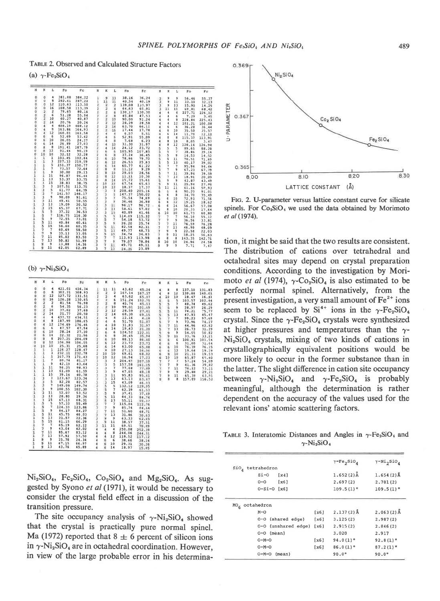TABLE 2. Observed and Calculated Structure Factors

(a)  $\gamma$ -Fe<sub>2</sub>SiO<sub>4</sub>

| $\mathcal{H}$  | к                       | L                        | Fo        | Fc     | н                        | к                   | L                       | Fo             | Fc        | H                       | к                       | L              | Fo        | Fc                 |
|----------------|-------------------------|--------------------------|-----------|--------|--------------------------|---------------------|-------------------------|----------------|-----------|-------------------------|-------------------------|----------------|-----------|--------------------|
| $\circ$        | a                       | 4                        | 381.88    | 384.22 | $\mathbf{1}$             | .9                  | 13                      | 38.16          | 36.24     | з                       | 9                       | 9              | 56.46     | 55.37              |
| ö              | a                       | 8                        | 282.61    | 287.22 | ī.                       | 11                  | 11                      | 40.54          | 40.19     | $\overline{\mathbf{3}}$ | $\mathbf{9}$            | 11             | 33.10     | 32.13              |
| $\frac{1}{2}$  | ā                       | 12                       | 110.63    | 113.50 | ż.                       | z                   | $\mathbf{z}$            | 139.08         | 133.97    | э                       | 9                       | 13             | 15.90     | 14.25              |
|                | ŭ                       | 16                       | 108.58    | 113.39 | ž                        | ž                   | 4                       | $64 - 63$      | 65.91     | з                       | 11                      | $_{11}$        | 69.81     | 68.42              |
| ã              | $\overline{\mathbf{z}}$ | $\overline{z}$           | 79.65     | 80.16  | ž                        | $\mathbf{2}$        | 6                       | 130.17         | 130,30    |                         | 4                       | $\ddot{ }$     | 227.71    | 226, 12            |
| ö              | $\overline{\mathbf{z}}$ | 6                        | 51.28     | 55.94  | ž                        | 2                   | Ä                       | 45.84          | 47.53     |                         | 4                       | 6              | 7.29      | 3.45               |
|                | z                       | 10                       | 40.27     | 40.87  | ż                        | 2                   | 10                      | 90.00          | 91.24     |                         | $\ddot{a}$              | 8              | 228.84    | 225.43             |
|                | $\overline{z}$          | 14                       | 20.76     | 20,24  | 2                        | 2                   | 12                      | 28.29          | 28.58     |                         | $\ddot{a}$              | 12             | 101.21    | 100.08             |
| <b>DDD</b>     |                         | 4                        | 408,19    | 408.12 | ä                        |                     | 14                      | 63.70          | 66.11     |                         | 6                       | 6              | 36.28     | 36.44              |
|                |                         | B                        | 163.86    | 164.93 | ž                        | $\frac{2}{2}$       | 16                      | 17.44          | 17.78     |                         | 6                       | 10             | 35.50     | 35.57              |
| 00             |                         | 12                       | 160.01    | 161.58 | ž                        |                     | 4                       | 6.57           | 5.51      |                         | 6                       | 14             | 11.70     | $12 - 12$          |
|                |                         | 6                        | 52.69     | 53.42  | ž                        |                     | 6                       | 52.91          | 55.09     |                         | 8                       | 8              | 115.37    | 113.91             |
| ö              | 6                       | 10                       | 26,05     | 24.27  | ĩ                        |                     | 78                      | 7.68           | 6.23      |                         | ₿                       | 10             | $8 - 05$  | 3.47               |
| ö              | ĸ                       | 14                       | 26.89     | 27,03  |                          |                     | 10                      | 31,30          | 31.97     |                         | $\theta$                | 12             | 128.14    |                    |
| ö              | $\mathbf{r}$            | $\theta$                 | 191.41    | 187.79 | ž                        |                     | 14                      | 24.12          | 23.72     | 5                       | 5                       | 5              | 89.65     | 126.94             |
| ö              | 8                       | 12                       | 91,44     | 90.19  | $\overline{2}$           |                     | 6                       | 105.95         | 107.85    | $\overline{5}$          | 5                       | $\overline{7}$ | 38.86     | 88.28<br>$39 - 14$ |
| ö              | 10                      | 10                       | 32.12     | 32,28  | ž                        |                     | 18                      | 37.24          | 36.45     | з                       | $\overline{\mathbf{5}}$ | 9              | 14.53     |                    |
| $\mathbf{I}$ : | $\mathbf{1}$            | ı                        | 103,45    | 102.84 | ž                        | ä                   | 30                      | 78.96          | $79 - 72$ | š                       | 5                       | 11             | 70.51     | 14.52              |
| 1              | $\mathbf{1}$            | 3                        | 227, 33   | 219.59 | $\overline{\mathbf{z}}$  | ö.                  | 12                      | 26.53          | 25.63     |                         | 5                       | 13             |           | 71.69              |
| î              | $\mathbf 1$             | 5                        | 151.37    | 150.77 | ż                        | $\ddot{\mathbf{5}}$ | 14                      | 60.77          | 61.22     |                         | $\overline{7}$          | $\overline{7}$ | $40 - 17$ | 39.02              |
| 1              |                         | $\overline{z}$           | 73.57     | 72.64  | z                        | B                   | $\mathbf{u}$            | 11.12          | $9 - 29$  | un bi bir               | $\overline{z}$          | 9              | 95.94     | 94.44              |
|                | ì                       | 9                        | 30.00     | 29,13  | $\overline{2}$           | ä                   | 10                      | 29,03          | 28.56     | 5                       | $\overline{7}$          |                | 67.23     | 67.79              |
| ī              | $\cdot$ 1               | 11                       | 96.87     | 96.44  | $\overline{a}$           | ň                   | 12                      | 11:11          | 10.30     | 5                       | $\overline{7}$          | 11             | 39.94     | 39.59              |
|                | 1                       | 13                       | 53.37     | 53.75  | ż                        | á                   | 14                      | $15 - 72$      | 15.61     | 3                       | 9                       | 13             | 18.91     | 20.09              |
| $\frac{1}{1}$  | ï                       | 15                       | $38 - 83$ | 38.75  | $\mathbf{z}$             | 10                  | 10                      | 67.54          | 65.63     | 5                       |                         | 9              | 43.87     | 43.49              |
|                |                         | 3                        | 107.51    | 113.75 | $\mathbf{z}$             | 10                  | 12                      | 18.37          | 17.37     |                         | 9                       | 11             | 25.94     | 27.R6              |
| $\frac{1}{1}$  | $\frac{3}{3}$           | 5                        | 61.77     | 64.79  | $\mathbf{I}$             | 13                  | $\overline{\mathbf{3}}$ | 208.40         | 205.16    | 5                       | 11                      | 11             | 61.16     | 5P.93              |
| ĩ              | ڏ                       | $\overline{\phantom{a}}$ | 141.57    | 146.17 | э                        | 5                   | s                       | 147.37         | 150.02    | 6                       | G                       | 6              | 90.20     | 91.01              |
| ı              |                         | 9                        | 90.09     | 91.61  | 3                        | a                   | $\overline{\mathbf{z}}$ | 75.54          |           | ś                       | 6                       | 8              | 34.70     | $35 - 49$          |
|                |                         | 11                       | 49.41     | 50.55  | ä                        |                     |                         |                | 74.69     | Ğ.                      | 6                       | 10             | 72.93     | $71 - 56$          |
| $\mathbf{1}$   | is is is                | 13                       | 19.09     | 20.52  | $\overline{3}$           | in to tal to        | Э<br>11                 | 36,46<br>96.17 | 36.88     | g,                      | 6                       | 12             | 19.25     | 18.62              |
| ı              |                         | 15                       | 65.37     | 67.71  | $\overline{\mathbf{3}}$  |                     |                         |                | 96.72     | 6                       | 6                       | 14             | 56.67     | 57.08              |
| n.             | š                       | 5                        | 37,32     | 36.53  | 3                        |                     | 13                      | 58.61          | 57.02     | £                       | $\mathbf{B}$            | 10             | $20 - 33$ | $17 - 64$          |
|                |                         | $\overline{\phantom{a}}$ | 116.75    | 116.30 | $\overline{\phantom{a}}$ |                     | 15                      | 40.89          | 41.46     | $\overline{\mathbf{6}}$ | 10                      | 10             | 61.73     | 60.80              |
|                | un un un cin            | $\overline{9}$           | 72,55     |        |                          | ś                   | $\overline{5}$          | 114.09         | 115.32    | ÿ.                      | $\overline{7}$          | $\overline{7}$ | 56.10     | 55.12              |
| í              |                         | 11                       | 40.84     | 73.01  | 3                        | 5<br>5              | $\overline{7}$          | 54.18          | 53.72     | $\gamma$                | $\overline{z}$          | 9              | 36.56     | 33.81              |
| 1              |                         | 15                       |           | 40.61  | 3                        |                     | ğ                       | 26,20          | 25.74     | 9                       | $\overline{7}$          | 11             | 76.59     | 76.28              |
|                | ÷                       |                          | 58.60     | 60.35  | $\rightarrow$            |                     | 11                      | 82.58          | 82.31     | 7                       | $\overline{7}$          | 13             | 46.90     | 48.09              |
| ī              | Ÿ                       | 7                        | 60.69     | 58.50  | 3                        | in un in            | 13                      | 49.77          | 48.73     | $\overline{J}$          | 9                       | 9              | 22.58     | 22.03              |
|                | ä                       | 9                        | 33.13     | 33.05  | э                        |                     | 15                      | 34.74          | 34.83     | 7                       | 9                       | 11             | 58.25     | 56.63              |
|                | ŋ                       | 11                       | 85.02     | 83.50  | $\mathbf{1}$             | 7                   | $\rightarrow$           | 113.93         | 113.98    | g                       | 8                       | 8              | 143.35    | 142.71             |
|                |                         | 13                       | 50.82     | 51.99  | з                        | $\overline{7}$      | $-9$                    | 79.07          | 78.84     | B                       | 10                      | 10             | 24.96     | 24.58              |
|                | 9                       | 9                        | 13.88     | 14,36  | э                        | $\frac{7}{7}$       | 11                      | 49.71          | 49.11     | ig.                     | 9                       | 9              | 7.71      | 7.47               |
|                | ġ                       | 11                       | 62.05     | 62.89  | ı                        |                     | 13                      | 24.26          | 23.89     |                         |                         |                |           |                    |

(b)  $\gamma$ -Ni<sub>2</sub>SiO<sub>4</sub>

| Ħ                              | ĸ             | L                        | Fo         | $_{\rm{Fc}}$ | н                       | к               | L                       | Fo        | Fc.             | H                | K                        | r                        | Fo     | Fc        |
|--------------------------------|---------------|--------------------------|------------|--------------|-------------------------|-----------------|-------------------------|-----------|-----------------|------------------|--------------------------|--------------------------|--------|-----------|
| o                              | $\Omega$      | $\ddot{\phantom{a}}$     | 421.01     | 416.34       | ı                       | 11              | 11                      | 43.62     | 45.24           | ۹                | 8                        | 8                        | 137.10 | 131.83    |
| ö                              | ö             | 8                        | 302.21     | 308.93       | 2                       | 2               | 2                       | 167.14    | 167.17          | ä                | 8                        | 12                       | 139.88 | 140.01    |
| $\frac{0}{0}$                  | ä             | 12                       | 127.72     | 131.51       | ä                       | 2               | 4                       | 63.62     | 65.07           | 4                | 10                       | 10                       | 18.47  | 16.41     |
|                                | ö             | 16                       | 126,28     | 130.65       |                         |                 | 6                       | 151.24    | 152.75          |                  |                          | 5                        | 103,57 | 102.44    |
|                                |               | $\overline{\mathbf{z}}$  | 81.54      | 76.98        |                         | $\frac{2}{2}$   | ₿                       | 45.74     | 45.53           |                  | $\frac{5}{5}$            | $\overline{\phantom{a}}$ | 48.74  | 49.62     |
|                                |               | 6                        | 54.35      | 56.23        |                         |                 | 10                      | 99.01     | 101.69          |                  |                          | 9                        | 28.97  | $26 - 29$ |
|                                |               | 10                       | 37.62      | 37,68        |                         |                 | 12                      | 28.59     | 27.41           |                  |                          | $11\,$                   | 74.21  | 75.77     |
|                                |               | 14                       | 21.77      | 20.50        |                         | <b>N. S. 24</b> | 14                      | 68,30     | 69.15           | un un un un      | ut ut ut                 | 13                       | 47.93  | 45.47     |
|                                | 4 N N N N     | $\blacktriangleleft$     | 437.72     | 434.51       | <b>NNMMMM</b>           | 4               | $\ddot{a}$              | 12.16     | 4.18            |                  |                          | $\scriptstyle\rm 7$      | 99.23  | 97.69     |
|                                | ä             | 8                        | 187.99     | 186.65       |                         | 4               | 6                       | 51.70     | 51.87           | 0 10 10 10 10 10 | $\frac{1}{7}$            | 9                        | 73.96  | 74.27     |
|                                | à             | 12                       | 174.69     | 176.46       |                         | 4               | 10                      | 31.83     | 31.97           |                  |                          |                          |        |           |
|                                | 6             | 6                        | 47.57      | 47.94        |                         | 4               | 14                      | 19.43     |                 |                  | $\frac{7}{7}$            | 11                       | 44.96  | 42.82     |
|                                |               | 10                       | 28.24      | 27.10        | As its life for the lot | 6               | 6                       | 124.52    | 21.26<br>122.01 |                  | 9                        | 13                       | 26.73  | 31.29     |
|                                | 6<br>6        | 14                       | 22.32      | 21.96        |                         | ń               | 8                       |           |                 |                  |                          | 9                        | 54.05  | 50.82     |
|                                | ं।            | 8                        | 207.25     | 204.09       |                         | 6               | 10                      | 36.45     | 35.94           |                  | $\frac{9}{6}$            | 11                       | 33.76  | 33.21     |
|                                | B             | 12                       | 106.98     |              |                         |                 |                         | 88.13     | 86.40           |                  |                          | 6                        | 100.91 | 101.54    |
|                                | 10            | 10                       | 25.31      | 106.55       |                         | G<br>s.         | 12                      | 23.73     | 23.73           | ë                | 6                        | 8                        | 31.60  | 31.64     |
|                                |               |                          |            | 25.68        | $\overline{\mathbf{2}}$ |                 | 14                      | 63.00     | 65.88           | É                | $\ddot{\phantom{0}}$     | 10                       | 76.39  | 76.15     |
|                                | $\frac{1}{1}$ | 1                        | $126 - 27$ | 128.47       | $\overline{z}$          | ä               | 10                      | 27.13     | 26.06           | 6                | ò                        | 12                       | 19.64  | 19.19     |
|                                |               | 3                        | 232.11     | 232.78       | $\overline{\mathbf{z}}$ | 10              | 10                      | 69.61     | 68.82           | 6                | g                        | 10                       | 21.33  | 19.53     |
|                                | $\frac{1}{1}$ | 5                        | 167.73     | 171.43       | ż                       | 10              | 12                      | 16.94     | 17.23           | 6                | 10                       | 10                       | 65.87  | 65,60     |
|                                |               | $\overline{\phantom{a}}$ | 80.74      | 81.17        |                         | ು               | 3                       | 204.45    | 207.59          |                  | 7                        | 7                        | 57.24  | 54.09     |
|                                |               | 9                        | 42.19      | 43.64        | -----                   | э               | $\overline{\mathbf{5}}$ | 157.58    | 161.15          | $\frac{7}{7}$    | $\overline{\phantom{a}}$ | 9                        | 41.36  | 39.82     |
|                                |               | 11                       | $96 - 25$  | 98.93        |                         | э               | $\overline{7}$          | 77.68     | 77.89           | Ÿ.               | 7                        | 11                       | 76.12  | 73.11     |
|                                |               | 13                       | 61.09      | 61.59        |                         | しゅうしょう こうきょう    | 9                       | 47.65     | 48.18           | y                | 9                        | 9                        | 29.88  | 29.21     |
|                                |               | 15                       | 39.14      | 40.78        |                         |                 | 11                      | $95 - 83$ | 95.61           | 7                | 9                        | 11                       | 61.39  | 63.91     |
|                                |               | $\overline{\mathbf{3}}$  | 123.67     | 123.34       |                         |                 | 13                      | 63.13     | 63.47           | ä                | B                        | 8                        | 157.89 | 156.52    |
|                                |               | 5                        | 82.28      | 82,57        |                         |                 | 15                      | 43.09     | 46.03           |                  |                          |                          |        |           |
|                                |               | $\overline{\phantom{a}}$ | 149.08     | 149.74       | $\frac{3}{3}$           |                 | 5                       | 132.12    | 129.05          |                  |                          |                          |        |           |
|                                |               | $\overline{9}$           | 100.55     | 102,30       |                         |                 | $\overline{7}$          | 62.39     | 61.53           |                  |                          |                          |        |           |
|                                |               | 11                       | 52.07      | 53.52        | j                       |                 | 9                       | 37.41     | 37.49           |                  |                          |                          |        |           |
|                                |               | 13                       | 28.80      | 29.34        | ä                       |                 | 11                      | 84.33     | 84.74           |                  |                          |                          |        |           |
|                                |               | 15                       | 67.13      | 68.31        |                         |                 | 13                      | 55.11     | 55.37           |                  |                          |                          |        |           |
|                                |               | 5                        | 57.33      | 55.49        | まままさこう                  |                 | $\overline{7}$          | 115.04    | 112.76          |                  |                          |                          |        |           |
|                                |               | $\scriptstyle{7}$        | 124.33     | 123.86       |                         |                 | $\overline{9}$          | 85.74     | 84.64           |                  |                          |                          |        |           |
|                                |               | 9                        | 84.17      | 84.27        |                         |                 | 11                      | 51.60     | 48.71           |                  |                          |                          |        |           |
|                                |               | 11                       | 45.75      | 46.03        |                         |                 | 13                      | 31.86     | 30.53           |                  |                          |                          |        |           |
|                                |               | 13                       | 21.57      | 22.36        |                         | ä               | 9                       | 63,33     |                 |                  |                          |                          |        |           |
|                                |               | 15                       | 61.15      | 66.29        |                         | g               | 11                      |           | 62.65           |                  |                          |                          |        |           |
|                                |               | $\overline{7}$           | 65.19      | 62.12        |                         | 11              | 11                      | 38.57     | 37.51           |                  |                          |                          |        |           |
|                                |               | 9                        | 43.04      | 42.02        | ä                       |                 |                         | 69.51     | 70.09           |                  |                          |                          |        |           |
|                                |               | $11\,$                   | 85.67      |              |                         | 4               | 4                       | 250.08    | 252.39          |                  |                          |                          |        |           |
|                                |               | 13                       |            | 83.12        | 4                       | è               | 8                       | 244,06    | 244.31          |                  |                          |                          |        |           |
|                                |               |                          | 57.92      | 57.50        | 4                       | Ä               | 12                      | 118.52    | 117.12          |                  |                          |                          |        |           |
|                                |               | 9                        | 25.70      | 24.34        | ù                       | 'n              | 6                       | 38,66     | 38.24           |                  |                          |                          |        |           |
| oooooooooooooooooooooooooooooo | 9             | 11                       | 67.15      | 66.97        |                         | 6               | 10                      | 29.31     | 30.26           |                  |                          |                          |        |           |
|                                | 9             | 13                       | 43.76      | 45.89        | $\overline{4}$          | ä               | 14                      | 18.97     | 15.05           |                  |                          |                          |        |           |

 $Ni<sub>2</sub>SiO<sub>4</sub>$ ,  $Fe<sub>2</sub>SiO<sub>4</sub>$ ,  $Co<sub>2</sub>SiO<sub>4</sub>$  and  $Mg<sub>2</sub>SiO<sub>4</sub>$ . As suggested by Syono et al (1971), it would be necessary to consider the crystal field effect in a discussion of the transition pressure.

The site occupancy analysis of  $\gamma$ -Ni<sub>2</sub>SiO<sub>4</sub> showed that the crystal is practically pure normal spinel. Ma (1972) reported that  $8 \pm 6$  percent of silicon ions in  $\gamma$ -Ni<sub>2</sub>SiO<sub>4</sub> are in octahedral coordination. However, in view of the large probable error in his determina-



FIG. 2. U-parameter versus lattice constant curve for silicate spinels. For Co<sub>2</sub>SiO<sub>4</sub> we used the data obtained by Morimoto et al (1974).

tion, it might be said that the two results are consistent. The distribution of cations over tetrahedral and octahedral sites may depend on crystal preparation conditions. According to the investigation by Morimoto *et al* (1974),  $\gamma$ -Co<sub>2</sub>SiO<sub>4</sub> is also estimated to be perfectly normal spinel. Alternatively, from the present investigation, a very small amount of  $\text{Fe}^{2+}$  ions seem to be replaced by  $Si^{4+}$  ions in the  $\gamma$ -Fe<sub>2</sub>SiO<sub>4</sub> crystal. Since the  $\gamma$ -Fe<sub>2</sub>SiO<sub>4</sub> crystals were synthesized at higher pressures and temperatures than the  $\gamma$ - $Ni<sub>2</sub>SiO<sub>4</sub>$  crystals, mixing of two kinds of cations in crystallographically equivalent positions would be more likely to occur in the former substance than in the latter. The slight difference in cation site occupancy between  $\gamma$ -Ni<sub>2</sub>SiO<sub>4</sub> and  $\gamma$ -Fe<sub>2</sub>SiO<sub>4</sub> is probably meaningful, although the determination is rather dependent on the accuracy of the values used for the relevant ions' atomic scattering factors.

TABLE 3. Interatomic Distances and Angles in  $\gamma$ -Fe<sub>2</sub>SiO<sub>4</sub> and  $\gamma$ -Ni<sub>2</sub>SiO<sub>4</sub>

|                           |      | $\gamma$ -Fe <sub>2</sub> SiO <sub>4</sub> | $\gamma$ -Ni <sub>2</sub> SiO <sub>4</sub> |
|---------------------------|------|--------------------------------------------|--------------------------------------------|
| SiO, tetrahedron          |      |                                            |                                            |
| $Si-0$<br>[x4]            |      | $1.652(2)$ Å                               | $1.654(2)$ Å                               |
| [x6]<br>$O - O$           |      | 2.697(2)                                   | 2.701(2)                                   |
| $0-Si-0$ [x6]             |      | $109.5(1)$ °                               | $109.5(1)$ °                               |
|                           |      |                                            |                                            |
| $MOf$ octahedron<br>$M-O$ | [x6] | $2,137(2)$ Å                               |                                            |
| 0-0 (shared edge)         | [x6] | 3.125(2)                                   | 2,987(2)                                   |
| 0-0 (unshared edge)       | [x6] | 2, 915(2)                                  | 2.846(2)                                   |
| $0-0$ (mean)              |      | 3.020                                      | 2.917                                      |
| $O-M-O$                   | [x6] | $94.0(1)$ <sup>o</sup>                     | $92.8(1)$ <sup>o</sup>                     |
| $O - M - O$               | [x6] | $86.0(1)$ <sup>o</sup>                     | $2.063(2)$ Å<br>$87.2(1)$ <sup>o</sup>     |